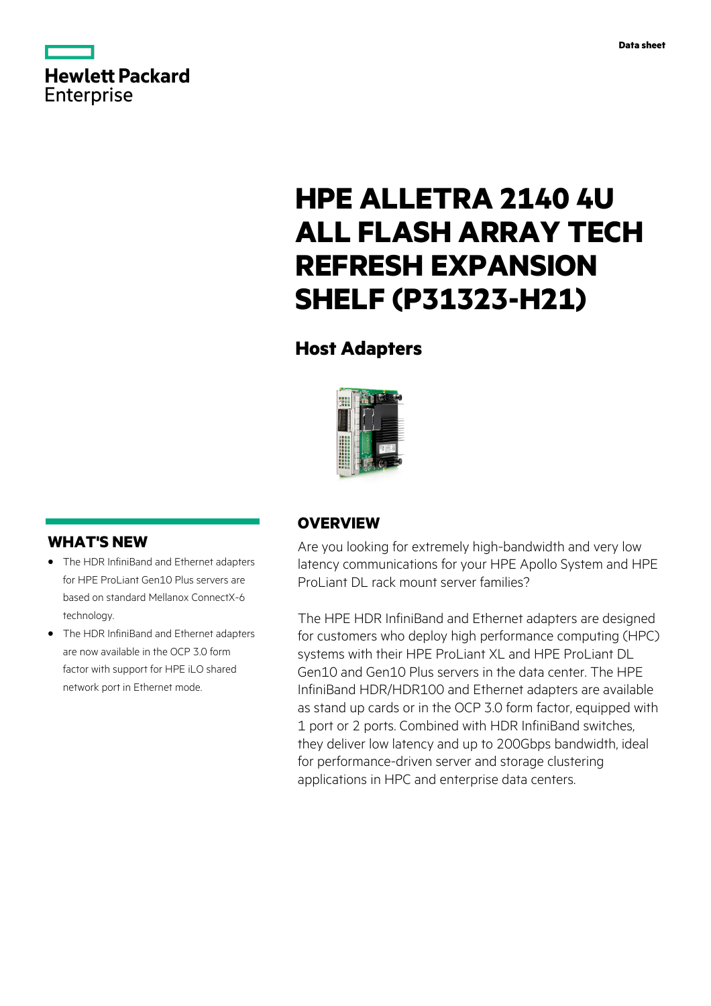

# **HPE ALLETRA 2140 4U ALL FLASH ARRAY TECH REFRESH EXPANSION SHELF (P31323-H21)**

# **Host Adapters**



# **WHAT'S NEW**

- **·** The HDR InfiniBand and Ethernet adapters for HPE ProLiant Gen10 Plus servers are based on standard Mellanox ConnectX-6 technology.
- **·** The HDR InfiniBand and Ethernet adapters are now available in the OCP 3.0 form factor with support for HPE iLO shared network port in Ethernet mode.

## **OVERVIEW**

Are you looking for extremely high-bandwidth and very low latency communications for your HPE Apollo System and HPE ProLiant DL rack mount server families?

The HPE HDR InfiniBand and Ethernet adapters are designed for customers who deploy high performance computing (HPC) systems with their HPE ProLiant XL and HPE ProLiant DL Gen10 and Gen10 Plus servers in the data center. The HPE InfiniBand HDR/HDR100 and Ethernet adapters are available as stand up cards or in the OCP 3.0 form factor, equipped with 1 port or 2 ports. Combined with HDR InfiniBand switches, they deliver low latency and up to 200Gbps bandwidth, ideal for performance-driven server and storage clustering applications in HPC and enterprise data centers.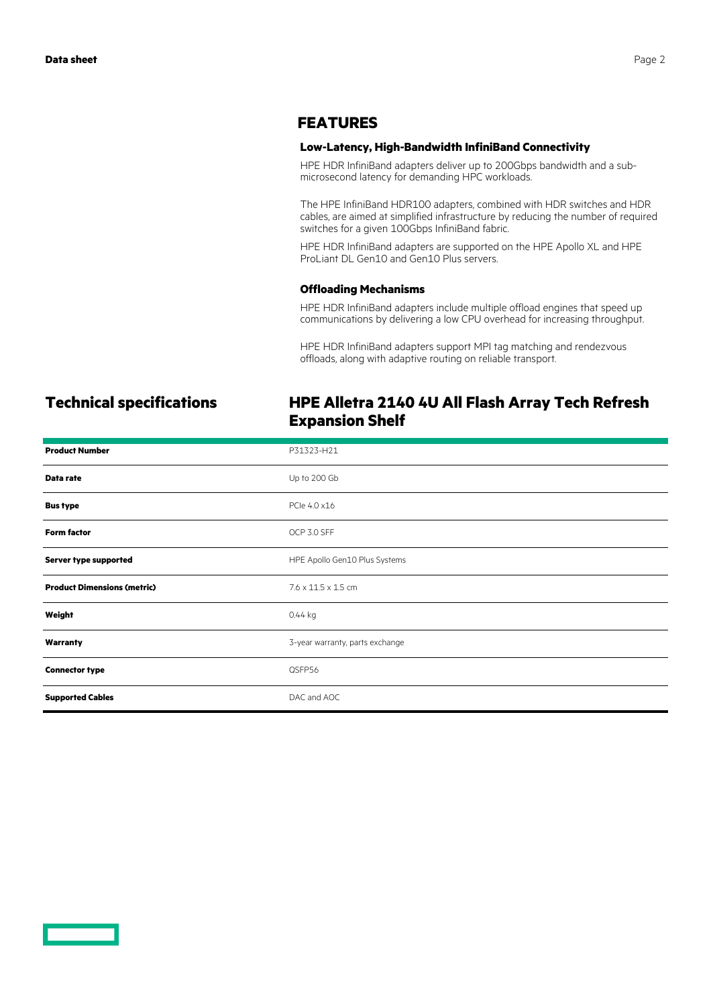### **FEATURES**

### **Low-Latency, High-Bandwidth InfiniBand Connectivity**

HPE HDR InfiniBand adapters deliver up to 200Gbps bandwidth and a submicrosecond latency for demanding HPC workloads.

The HPE InfiniBand HDR100 adapters, combined with HDR switches and HDR cables, are aimed at simplified infrastructure by reducing the number of required switches for a given 100Gbps InfiniBand fabric.

HPE HDR InfiniBand adapters are supported on the HPE Apollo XL and HPE ProLiant DL Gen10 and Gen10 Plus servers.

### **Offloading Mechanisms**

HPE HDR InfiniBand adapters include multiple offload engines that speed up communications by delivering a low CPU overhead for increasing throughput.

HPE HDR InfiniBand adapters support MPI tag matching and rendezvous offloads, along with adaptive routing on reliable transport.

## **Technical specifications HPE Alletra 2140 4U All Flash Array Tech Refresh Expansion Shelf**

| <b>Product Number</b>              | P31323-H21                      |
|------------------------------------|---------------------------------|
| Data rate                          | Up to 200 Gb                    |
| <b>Bus type</b>                    | PCle 4.0 x16                    |
| <b>Form factor</b>                 | OCP 3.0 SFF                     |
| Server type supported              | HPE Apollo Gen10 Plus Systems   |
| <b>Product Dimensions (metric)</b> | $7.6 \times 11.5 \times 1.5$ cm |
| Weight                             | 0.44 kg                         |
| Warranty                           | 3-year warranty, parts exchange |
| <b>Connector type</b>              | QSFP56                          |
| <b>Supported Cables</b>            | DAC and AOC                     |